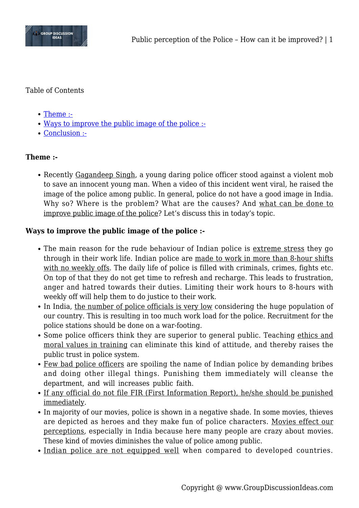

## Table of Contents

- [Theme :-](#page--1-0)
- [Ways to improve the public image of the police :-](#page--1-0)
- [Conclusion :-](#page--1-0)

## **Theme :-**

Recently Gagandeep Singh, a young daring police officer stood against a violent mob to save an innocent young man. When a video of this incident went viral, he raised the image of the police among public. In general, police do not have a good image in India. Why so? Where is the problem? What are the causes? And what can be done to improve public image of the police? Let's discuss this in today's topic.

## **Ways to improve the public image of the police :-**

- The main reason for the rude behaviour of Indian police is extreme stress they go through in their work life. Indian police are made to work in more than 8-hour shifts with no weekly offs. The daily life of police is filled with criminals, crimes, fights etc. On top of that they do not get time to refresh and recharge. This leads to frustration, anger and hatred towards their duties. Limiting their work hours to 8-hours with weekly off will help them to do justice to their work.
- In India, the number of police officials is very low considering the huge population of our country. This is resulting in too much work load for the police. Recruitment for the police stations should be done on a war-footing.
- Some police officers think they are superior to general public. Teaching ethics and moral values in training can eliminate this kind of attitude, and thereby raises the public trust in police system.
- Few bad police officers are spoiling the name of Indian police by demanding bribes and doing other illegal things. Punishing them immediately will cleanse the department, and will increases public faith.
- If any official do not file FIR (First Information Report), he/she should be punished immediately.
- In majority of our movies, police is shown in a negative shade. In some movies, thieves are depicted as heroes and they make fun of police characters. Movies effect our perceptions, especially in India because here many people are crazy about movies. These kind of movies diminishes the value of police among public.
- Indian police are not equipped well when compared to developed countries.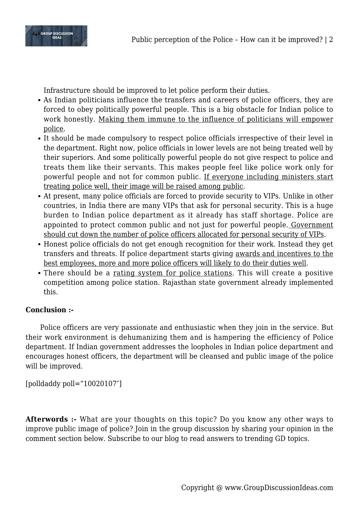

Infrastructure should be improved to let police perform their duties.

- As Indian politicians influence the transfers and careers of police officers, they are forced to obey politically powerful people. This is a big obstacle for Indian police to work honestly. Making them immune to the influence of politicians will empower police.
- It should be made compulsory to respect police officials irrespective of their level in the department. Right now, police officials in lower levels are not being treated well by their superiors. And some politically powerful people do not give respect to police and treats them like their servants. This makes people feel like police work only for powerful people and not for common public. If everyone including ministers start treating police well, their image will be raised among public.
- At present, many police officials are forced to provide security to VIPs. Unlike in other countries, in India there are many VIPs that ask for personal security. This is a huge burden to Indian police department as it already has staff shortage. Police are appointed to protect common public and not just for powerful people. Government should cut down the number of police officers allocated for personal security of VIPs.
- Honest police officials do not get enough recognition for their work. Instead they get transfers and threats. If police department starts giving awards and incentives to the best employees, more and more police officers will likely to do their duties well.
- There should be a rating system for police stations. This will create a positive competition among police station. Rajasthan state government already implemented this.

## **Conclusion :-**

Police officers are very passionate and enthusiastic when they join in the service. But their work environment is dehumanizing them and is hampering the efficiency of Police department. If Indian government addresses the loopholes in Indian police department and encourages honest officers, the department will be cleansed and public image of the police will be improved.

[polldaddy poll="10020107″]

**Afterwords :-** What are your thoughts on this topic? Do you know any other ways to improve public image of police? Join in the group discussion by sharing your opinion in the comment section below. Subscribe to our blog to read answers to trending GD topics.